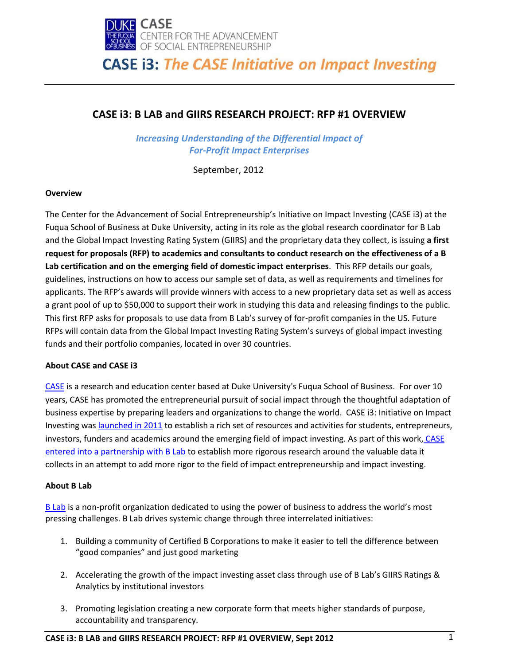

### **CASE i3: B LAB and GIIRS RESEARCH PROJECT: RFP #1 OVERVIEW**

*Increasing Understanding of the Differential Impact of For-Profit Impact Enterprises* 

September, 2012

### **Overview**

The Center for the Advancement of Social Entrepreneurship's Initiative on Impact Investing (CASE i3) at the Fuqua School of Business at Duke University, acting in its role as the global research coordinator for B Lab and the Global Impact Investing Rating System (GIIRS) and the proprietary data they collect, is issuing **a first request for proposals (RFP) to academics and consultants to conduct research on the effectiveness of a B Lab certification and on the emerging field of domestic impact enterprises**. This RFP details our goals, guidelines, instructions on how to access our sample set of data, as well as requirements and timelines for applicants. The RFP's awards will provide winners with access to a new proprietary data set as well as access a grant pool of up to \$50,000 to support their work in studying this data and releasing findings to the public. This first RFP asks for proposals to use data from B Lab's survey of for-profit companies in the US. Future RFPs will contain data from the Global Impact Investing Rating System's surveys of global impact investing funds and their portfolio companies, located in over 30 countries.

### **About CASE and CASE i3**

[CASE](http://www.caseatduke.org/) is a research and education center based at Duke University's Fuqua School of Business. For over 10 years, CASE has promoted the entrepreneurial pursuit of social impact through the thoughtful adaptation of business expertise by preparing leaders and organizations to change the world. CASE i3: Initiative on Impact Investing was [launched in 2011](http://blogs.fuqua.duke.edu/casenotes/files/2011/10/CASE_I3_press_announcement_10_18_2011_final.pdf) to establish a rich set of resources and activities for students, entrepreneurs, investors, funders and academics around the emerging field of impact investing. As part of this work, [CASE](http://blogs.fuqua.duke.edu/casenotes/2011/01/28/gearing-up-for-giirs/)  [entered into a partnership with B Lab](http://blogs.fuqua.duke.edu/casenotes/2011/01/28/gearing-up-for-giirs/) to establish more rigorous research around the valuable data it collects in an attempt to add more rigor to the field of impact entrepreneurship and impact investing.

### **About B Lab**

[B Lab](http://www.bcorporation.net/) is a non-profit organization dedicated to using the power of business to address the world's most pressing challenges. B Lab drives systemic change through three interrelated initiatives:

- 1. Building a community of Certified B Corporations to make it easier to tell the difference between "good companies" and just good marketing
- 2. Accelerating the growth of the impact investing asset class through use of B Lab's GIIRS Ratings & Analytics by institutional investors
- 3. Promoting legislation creating a new corporate form that meets higher standards of purpose, accountability and transparency.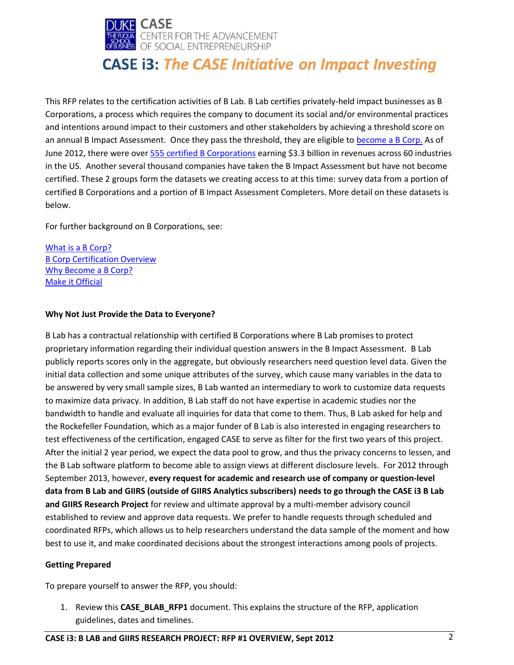

This RFP relates to the certification activities of B Lab. B Lab certifies privately-held impact businesses as B Corporations, a process which requires the company to document its social and/or environmental practices and intentions around impact to their customers and other stakeholders by achieving a threshold score on an annual B Impact Assessment. Once they pass the threshold, they are eligible t[o become a B Corp.](http://www.bcorporation.net/become-a-b-Corp) As of June 2012, there were over 555 [certified B Corporations](http://www.bcorporation.net/b-corporations) earning \$3.3 billion in revenues across 60 industries in the US. Another several thousand companies have taken the B Impact Assessment but have not become certified. These 2 groups form the datasets we creating access to at this time: survey data from a portion of certified B Corporations and a portion of B Impact Assessment Completers. More detail on these datasets is below.

For further background on B Corporations, see:

[What is a B Corp?](http://www.bcorporation.net/about) [B Corp Certification Overview](http://www.bcorporation.net/Certification-Overview) [Why Become a B Corp?](http://www.bcorporation.net/index.cfm/fuseaction/content.page/nodeID/7fa80905-ea57-4381-8a54-aae2c6f70769/) [Make it Official](http://www.bcorporation.net/become/official)

### **Why Not Just Provide the Data to Everyone?**

B Lab has a contractual relationship with certified B Corporations where B Lab promises to protect proprietary information regarding their individual question answers in the B Impact Assessment. B Lab publicly reports scores only in the aggregate, but obviously researchers need question level data. Given the initial data collection and some unique attributes of the survey, which cause many variables in the data to be answered by very small sample sizes, B Lab wanted an intermediary to work to customize data requests to maximize data privacy. In addition, B Lab staff do not have expertise in academic studies nor the bandwidth to handle and evaluate all inquiries for data that come to them. Thus, B Lab asked for help and the Rockefeller Foundation, which as a major funder of B Lab is also interested in engaging researchers to test effectiveness of the certification, engaged CASE to serve as filter for the first two years of this project. After the initial 2 year period, we expect the data pool to grow, and thus the privacy concerns to lessen, and the B Lab software platform to become able to assign views at different disclosure levels. For 2012 through September 2013, however, **every request for academic and research use of company or question-level data from B Lab and GIIRS (outside of GIIRS Analytics subscribers) needs to go through the CASE i3 B Lab and GIIRS Research Project** for review and ultimate approval by a multi-member advisory council established to review and approve data requests. We prefer to handle requests through scheduled and coordinated RFPs, which allows us to help researchers understand the data sample of the moment and how best to use it, and make coordinated decisions about the strongest interactions among pools of projects.

### **Getting Prepared**

To prepare yourself to answer the RFP, you should:

1. Review this **CASE\_BLAB\_RFP1** document. This explains the structure of the RFP, application guidelines, dates and timelines.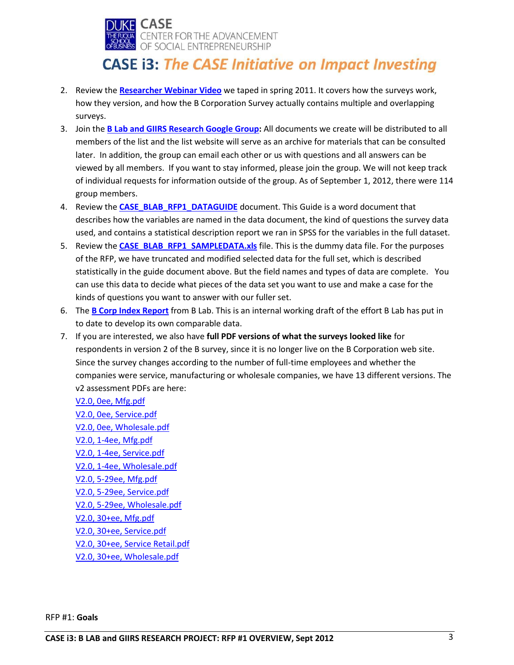

- 2. Review the **[Researcher Webinar Video](https://docs.google.com/open?id=0B5KlCKe7MjaLMjkxZjVhMDgtN2E2ZS00MWUyLWE4ODAtNGZhZTdjMjVjY2Yy&authkey=CNe0grkC)** we taped in spring 2011. It covers how the surveys work, how they version, and how the B Corporation Survey actually contains multiple and overlapping surveys.
- 3. Join the **[B Lab and GIIRS Research Google Group:](https://groups.google.com/d/forum/blab-and-giirs-research)** All documents we create will be distributed to all members of the list and the list website will serve as an archive for materials that can be consulted later. In addition, the group can email each other or us with questions and all answers can be viewed by all members. If you want to stay informed, please join the group. We will not keep track of individual requests for information outside of the group. As of September 1, 2012, there were 114 group members.
- 4. Review the **[CASE\\_BLAB\\_RFP1\\_DATAGUIDE](http://sites.duke.edu/casei3/files/2014/12/CASE_BLAB_RFP1_DATAGUIDE-.pdf)** document. This Guide is a word document that describes how the variables are named in the data document, the kind of questions the survey data used, and contains a statistical description report we ran in SPSS for the variables in the full dataset.
- 5. Review the **[CASE\\_BLAB\\_RFP1\\_SAMPLEDATA.xls](http://sites.duke.edu/casei3/files/2014/12/CASE_BLAB_RFP1_SAMPLEDATA.xlsx)** file. This is the dummy data file. For the purposes of the RFP, we have truncated and modified selected data for the full set, which is described statistically in the guide document above. But the field names and types of data are complete. You can use this data to decide what pieces of the data set you want to use and make a case for the kinds of questions you want to answer with our fuller set.
- 6. The **B Corp [Index Report](http://sites.duke.edu/casei3/files/2014/12/B-Corp-Index-Report-2012_Draft080512.pdf)** from B Lab. This is an internal working draft of the effort B Lab has put in to date to develop its own comparable data.
- 7. If you are interested, we also have **full PDF versions of what the surveys looked like** for respondents in version 2 of the B survey, since it is no longer live on the B Corporation web site. Since the survey changes according to the number of full-time employees and whether the companies were service, manufacturing or wholesale companies, we have 13 different versions. The v2 assessment PDFs are here:
	- [V2.0, 0ee, Mfg.pdf](http://db.tt/xRQW9dN4) [V2.0, 0ee, Service.pdf](http://db.tt/XVwB3gLQ) [V2.0, 0ee, Wholesale.pdf](http://db.tt/dseF7oci) [V2.0, 1-4ee, Mfg.pdf](http://db.tt/f0z1Xg77) [V2.0, 1-4ee, Service.pdf](http://db.tt/VmoNDFpT) [V2.0, 1-4ee, Wholesale.pdf](http://db.tt/t79iQGPP) [V2.0, 5-29ee, Mfg.pdf](http://db.tt/kOZXVqfy) [V2.0, 5-29ee, Service.pdf](http://db.tt/vhWSPwSf) [V2.0, 5-29ee, Wholesale.pdf](http://db.tt/MDBJNOK0) [V2.0, 30+ee, Mfg.pdf](http://db.tt/uvzKNTOw) [V2.0, 30+ee, Service.pdf](http://db.tt/2JPapPnc) [V2.0, 30+ee, Service Retail.pdf](http://db.tt/Syut9GAk) [V2.0, 30+ee, Wholesale.pdf](http://db.tt/Ha7iyJY8)

RFP #1: **Goals**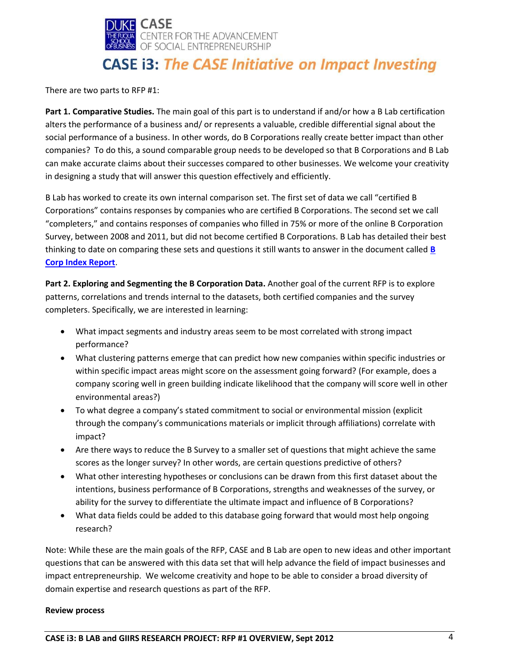

There are two parts to RFP #1:

**Part 1. Comparative Studies.** The main goal of this part is to understand if and/or how a B Lab certification alters the performance of a business and/ or represents a valuable, credible differential signal about the social performance of a business. In other words, do B Corporations really create better impact than other companies? To do this, a sound comparable group needs to be developed so that B Corporations and B Lab can make accurate claims about their successes compared to other businesses. We welcome your creativity in designing a study that will answer this question effectively and efficiently.

B Lab has worked to create its own internal comparison set. The first set of data we call "certified B Corporations" contains responses by companies who are certified B Corporations. The second set we call "completers," and contains responses of companies who filled in 75% or more of the online B Corporation Survey, between 2008 and 2011, but did not become certified B Corporations. B Lab has detailed their best thinking to date on comparing these sets and questions it still wants to answer in the document called **[B](http://sites.duke.edu/casei3/files/2014/12/B-Corp-Index-Report-2012_Draft080512.pdf)  [Corp Index Report](http://sites.duke.edu/casei3/files/2014/12/B-Corp-Index-Report-2012_Draft080512.pdf)**.

**Part 2. Exploring and Segmenting the B Corporation Data.** Another goal of the current RFP is to explore patterns, correlations and trends internal to the datasets, both certified companies and the survey completers. Specifically, we are interested in learning:

- What impact segments and industry areas seem to be most correlated with strong impact performance?
- What clustering patterns emerge that can predict how new companies within specific industries or within specific impact areas might score on the assessment going forward? (For example, does a company scoring well in green building indicate likelihood that the company will score well in other environmental areas?)
- To what degree a company's stated commitment to social or environmental mission (explicit through the company's communications materials or implicit through affiliations) correlate with impact?
- Are there ways to reduce the B Survey to a smaller set of questions that might achieve the same scores as the longer survey? In other words, are certain questions predictive of others?
- What other interesting hypotheses or conclusions can be drawn from this first dataset about the intentions, business performance of B Corporations, strengths and weaknesses of the survey, or ability for the survey to differentiate the ultimate impact and influence of B Corporations?
- What data fields could be added to this database going forward that would most help ongoing research?

Note: While these are the main goals of the RFP, CASE and B Lab are open to new ideas and other important questions that can be answered with this data set that will help advance the field of impact businesses and impact entrepreneurship. We welcome creativity and hope to be able to consider a broad diversity of domain expertise and research questions as part of the RFP.

### **Review process**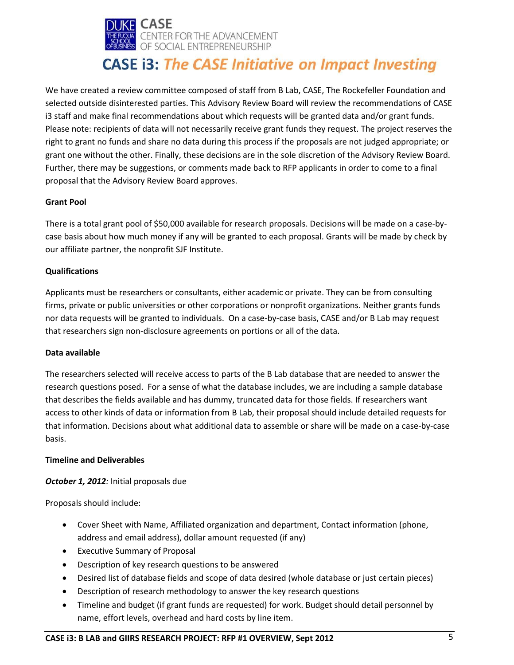

We have created a review committee composed of staff from B Lab, CASE, The Rockefeller Foundation and selected outside disinterested parties. This Advisory Review Board will review the recommendations of CASE i3 staff and make final recommendations about which requests will be granted data and/or grant funds. Please note: recipients of data will not necessarily receive grant funds they request. The project reserves the right to grant no funds and share no data during this process if the proposals are not judged appropriate; or grant one without the other. Finally, these decisions are in the sole discretion of the Advisory Review Board. Further, there may be suggestions, or comments made back to RFP applicants in order to come to a final proposal that the Advisory Review Board approves.

### **Grant Pool**

There is a total grant pool of \$50,000 available for research proposals. Decisions will be made on a case-bycase basis about how much money if any will be granted to each proposal. Grants will be made by check by our affiliate partner, the nonprofit SJF Institute.

### **Qualifications**

Applicants must be researchers or consultants, either academic or private. They can be from consulting firms, private or public universities or other corporations or nonprofit organizations. Neither grants funds nor data requests will be granted to individuals. On a case-by-case basis, CASE and/or B Lab may request that researchers sign non-disclosure agreements on portions or all of the data.

### **Data available**

The researchers selected will receive access to parts of the B Lab database that are needed to answer the research questions posed. For a sense of what the database includes, we are including a sample database that describes the fields available and has dummy, truncated data for those fields. If researchers want access to other kinds of data or information from B Lab, their proposal should include detailed requests for that information. Decisions about what additional data to assemble or share will be made on a case-by-case basis.

### **Timeline and Deliverables**

### *October 1, 2012:* Initial proposals due

Proposals should include:

- Cover Sheet with Name, Affiliated organization and department, Contact information (phone, address and email address), dollar amount requested (if any)
- Executive Summary of Proposal
- Description of key research questions to be answered
- Desired list of database fields and scope of data desired (whole database or just certain pieces)
- Description of research methodology to answer the key research questions
- Timeline and budget (if grant funds are requested) for work. Budget should detail personnel by name, effort levels, overhead and hard costs by line item.